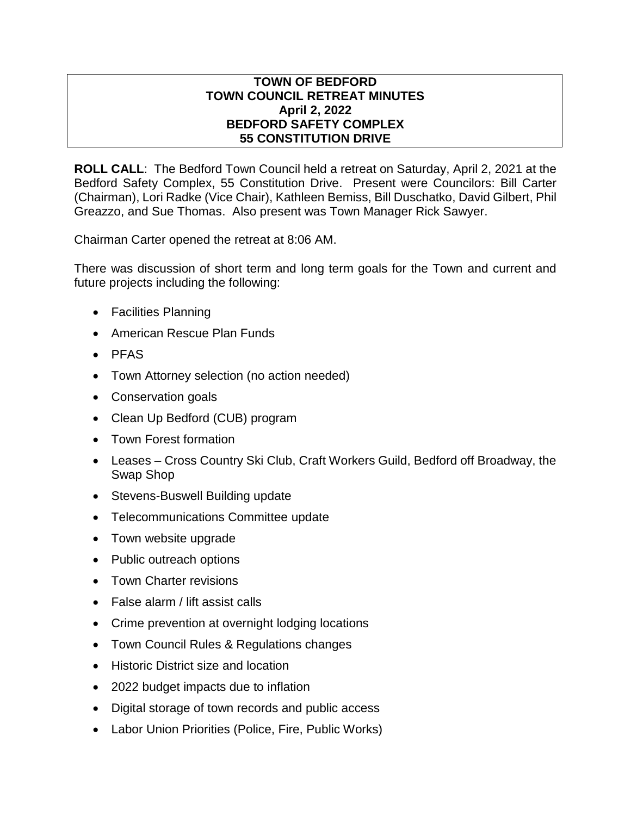## **TOWN OF BEDFORD TOWN COUNCIL RETREAT MINUTES April 2, 2022 BEDFORD SAFETY COMPLEX 55 CONSTITUTION DRIVE**

**ROLL CALL**: The Bedford Town Council held a retreat on Saturday, April 2, 2021 at the Bedford Safety Complex, 55 Constitution Drive. Present were Councilors: Bill Carter (Chairman), Lori Radke (Vice Chair), Kathleen Bemiss, Bill Duschatko, David Gilbert, Phil Greazzo, and Sue Thomas. Also present was Town Manager Rick Sawyer.

Chairman Carter opened the retreat at 8:06 AM.

There was discussion of short term and long term goals for the Town and current and future projects including the following:

- Facilities Planning
- American Rescue Plan Funds
- $\bullet$  PFAS
- Town Attorney selection (no action needed)
- Conservation goals
- Clean Up Bedford (CUB) program
- Town Forest formation
- Leases Cross Country Ski Club, Craft Workers Guild, Bedford off Broadway, the Swap Shop
- Stevens-Buswell Building update
- Telecommunications Committee update
- Town website upgrade
- Public outreach options
- Town Charter revisions
- False alarm / lift assist calls
- Crime prevention at overnight lodging locations
- Town Council Rules & Regulations changes
- Historic District size and location
- 2022 budget impacts due to inflation
- Digital storage of town records and public access
- Labor Union Priorities (Police, Fire, Public Works)